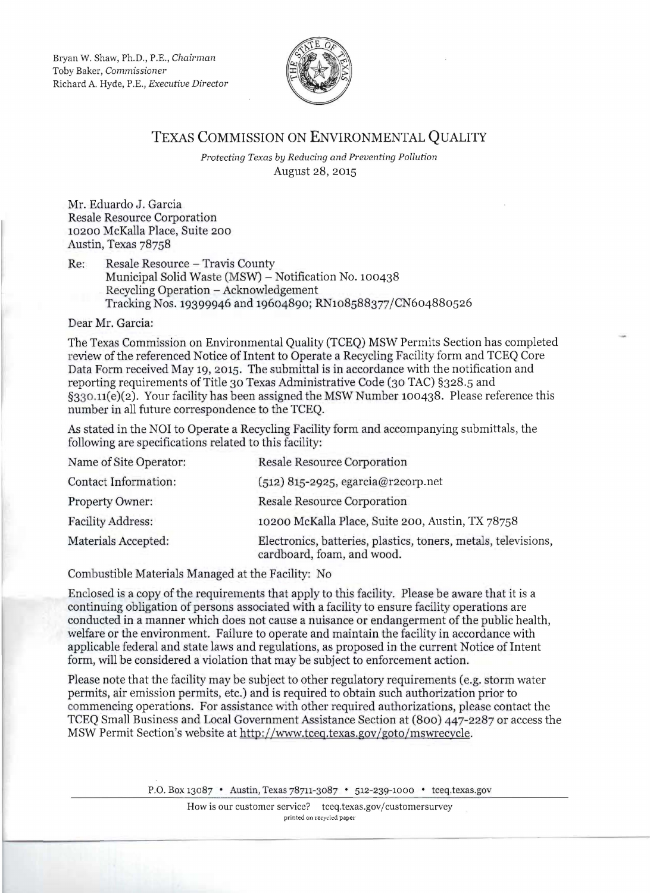Bryan W. Shaw, Ph.D., P.E., *Chairman*  Toby Baker, *Commissioner*  Richard A. Hyde, P.E., *Executive Director* 



## TEXAS COMMISSION ON ENVIRONMENTAL QUALITY

*Protecting Texas by Reducing and Preventing Pollution*  August 28, 2015

Mr. Eduardo J. Garcia Resale Resource Corporation 10200 McKaHa Place, Suite 200 Austin, Texas 78758

Re: Resale Resource - Travis County Municipal Solid Waste (MSW) - Notification No. 100438 Reeycling Operation - Acknowledgement Tracking Nos. 19399946 and 19604890; RN108588377/CN604880526

Dear Mr. Garcia:

The Texas Commission on Environmental Quality (TCEQ) MSW Permits Section has completed review of the referenced Notice of Intent to Operate a Recycling Facility form and TCEQ Core Data Form received May 19, 2015. The submittal is in accordance with the notification and reporting requirements of Title 30 Texas Administrative Code (30 TAC) §328.5 and §330.n(e)(2). Your facility has been assigned the MSW Number 100438. Please reference this number in all future correspondence to the TCEQ.

As stated in the NOI to Operate a Recycling Facility form and accompanying submittals, the following are specifications related to this facility:

| <b>Resale Resource Corporation</b>                                                           |
|----------------------------------------------------------------------------------------------|
| $(512)$ 815-2925, egarcia@r2corp.net                                                         |
| Resale Resource Corporation                                                                  |
| 10200 McKalla Place, Suite 200, Austin, TX 78758                                             |
| Electronics, batteries, plastics, toners, metals, televisions,<br>cardboard, foam, and wood. |
|                                                                                              |

Combustible Materials Managed at the Facility: No

Enclosed is a copy of the requirements that apply to this facility. Please be aware that it is a continuing obligation of persons associated with a facility to ensure facility operations are conducted in a manner which does not cause a nuisance or endangerment of the public health, welfare or the environment. Failure to operate and maintain the facility in accordance with applicable federal and state laws and regulations, as proposed in the current Notice of Intent form, will be considered a violation that may be subject to enforcement action.

Please note that the facility may be subject to other regulatory requirements (e.g. storm water permits, air emission permits, etc.) and is required to obtain such authorization prior to commencing operations. For assistance with other required authorizations, please contact the TCEQ Small Business and Local Government Assistance Section at (800) 447-2287 or access the MSW Permit Section's website at http://www.tceq.texas.gov/goto/mswrecycle.

P.O. Box 13087 • Austin, Texas 78711-3087 • 512-239-1000 • tceq.texas.gov

How is our customer service? tceq.texas.gov/customersurvey printed on recycled paper